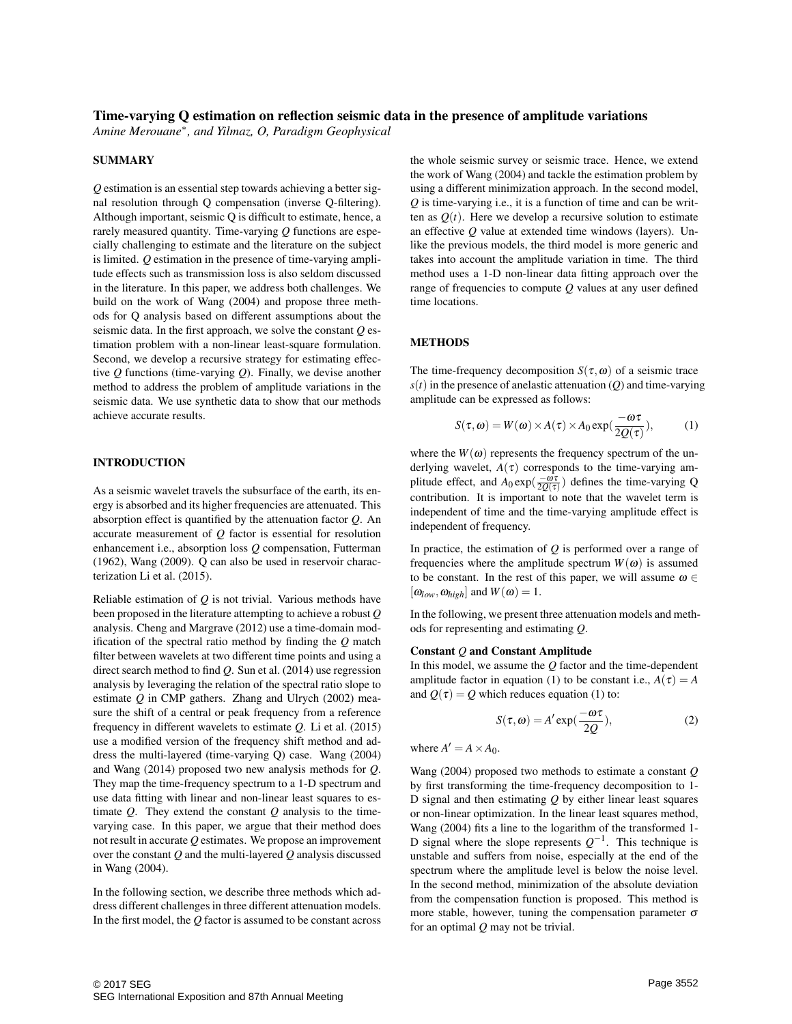## Time-varying Q estimation on reflection seismic data in the presence of amplitude variations

*Amine Merouane*<sup>∗</sup> *, and Yilmaz, O, Paradigm Geophysical*

### SUMMARY

*Q* estimation is an essential step towards achieving a better signal resolution through Q compensation (inverse Q-filtering). Although important, seismic Q is difficult to estimate, hence, a rarely measured quantity. Time-varying *Q* functions are especially challenging to estimate and the literature on the subject is limited. *Q* estimation in the presence of time-varying amplitude effects such as transmission loss is also seldom discussed in the literature. In this paper, we address both challenges. We build on the work of Wang (2004) and propose three methods for Q analysis based on different assumptions about the seismic data. In the first approach, we solve the constant *Q* estimation problem with a non-linear least-square formulation. Second, we develop a recursive strategy for estimating effective *Q* functions (time-varying *Q*). Finally, we devise another method to address the problem of amplitude variations in the seismic data. We use synthetic data to show that our methods achieve accurate results.

## INTRODUCTION

As a seismic wavelet travels the subsurface of the earth, its energy is absorbed and its higher frequencies are attenuated. This absorption effect is quantified by the attenuation factor *Q*. An accurate measurement of *Q* factor is essential for resolution enhancement i.e., absorption loss *Q* compensation, Futterman (1962), Wang (2009). Q can also be used in reservoir characterization Li et al. (2015).

Reliable estimation of *Q* is not trivial. Various methods have been proposed in the literature attempting to achieve a robust *Q* analysis. Cheng and Margrave (2012) use a time-domain modification of the spectral ratio method by finding the *Q* match filter between wavelets at two different time points and using a direct search method to find *Q*. Sun et al. (2014) use regression analysis by leveraging the relation of the spectral ratio slope to estimate *Q* in CMP gathers. Zhang and Ulrych (2002) measure the shift of a central or peak frequency from a reference frequency in different wavelets to estimate *Q*. Li et al. (2015) use a modified version of the frequency shift method and address the multi-layered (time-varying Q) case. Wang (2004) and Wang (2014) proposed two new analysis methods for *Q*. They map the time-frequency spectrum to a 1-D spectrum and use data fitting with linear and non-linear least squares to estimate *Q*. They extend the constant *Q* analysis to the timevarying case. In this paper, we argue that their method does not result in accurate *Q* estimates. We propose an improvement over the constant *Q* and the multi-layered *Q* analysis discussed in Wang (2004).

In the following section, we describe three methods which address different challenges in three different attenuation models. In the first model, the *Q* factor is assumed to be constant across

the whole seismic survey or seismic trace. Hence, we extend the work of Wang (2004) and tackle the estimation problem by using a different minimization approach. In the second model, *Q* is time-varying i.e., it is a function of time and can be written as  $Q(t)$ . Here we develop a recursive solution to estimate an effective *Q* value at extended time windows (layers). Unlike the previous models, the third model is more generic and takes into account the amplitude variation in time. The third method uses a 1-D non-linear data fitting approach over the range of frequencies to compute *Q* values at any user defined time locations.

## **METHODS**

The time-frequency decomposition  $S(\tau, \omega)$  of a seismic trace  $s(t)$  in the presence of anelastic attenuation (*Q*) and time-varying amplitude can be expressed as follows:

$$
S(\tau, \omega) = W(\omega) \times A(\tau) \times A_0 \exp(\frac{-\omega \tau}{2Q(\tau)}), \quad (1)
$$

where the  $W(\omega)$  represents the frequency spectrum of the underlying wavelet,  $A(\tau)$  corresponds to the time-varying amplitude effect, and  $A_0 \exp(\frac{-\omega \tau}{2Q(\tau)})$  defines the time-varying Q contribution. It is important to note that the wavelet term is independent of time and the time-varying amplitude effect is independent of frequency.

In practice, the estimation of *Q* is performed over a range of frequencies where the amplitude spectrum  $W(\omega)$  is assumed to be constant. In the rest of this paper, we will assume  $\omega \in$  $[\omega_{low}, \omega_{high}]$  and  $W(\omega) = 1$ .

In the following, we present three attenuation models and methods for representing and estimating *Q*.

### Constant *Q* and Constant Amplitude

In this model, we assume the *Q* factor and the time-dependent amplitude factor in equation (1) to be constant i.e.,  $A(\tau) = A$ and  $Q(\tau) = Q$  which reduces equation (1) to:

$$
S(\tau, \omega) = A' \exp(\frac{-\omega \tau}{2Q}), \qquad (2)
$$

where  $A' = A \times A_0$ .

Wang (2004) proposed two methods to estimate a constant *Q* by first transforming the time-frequency decomposition to 1- D signal and then estimating *Q* by either linear least squares or non-linear optimization. In the linear least squares method, Wang (2004) fits a line to the logarithm of the transformed 1- D signal where the slope represents  $Q^{-1}$ . This technique is unstable and suffers from noise, especially at the end of the spectrum where the amplitude level is below the noise level. In the second method, minimization of the absolute deviation from the compensation function is proposed. This method is more stable, however, tuning the compensation parameter  $\sigma$ for an optimal *Q* may not be trivial.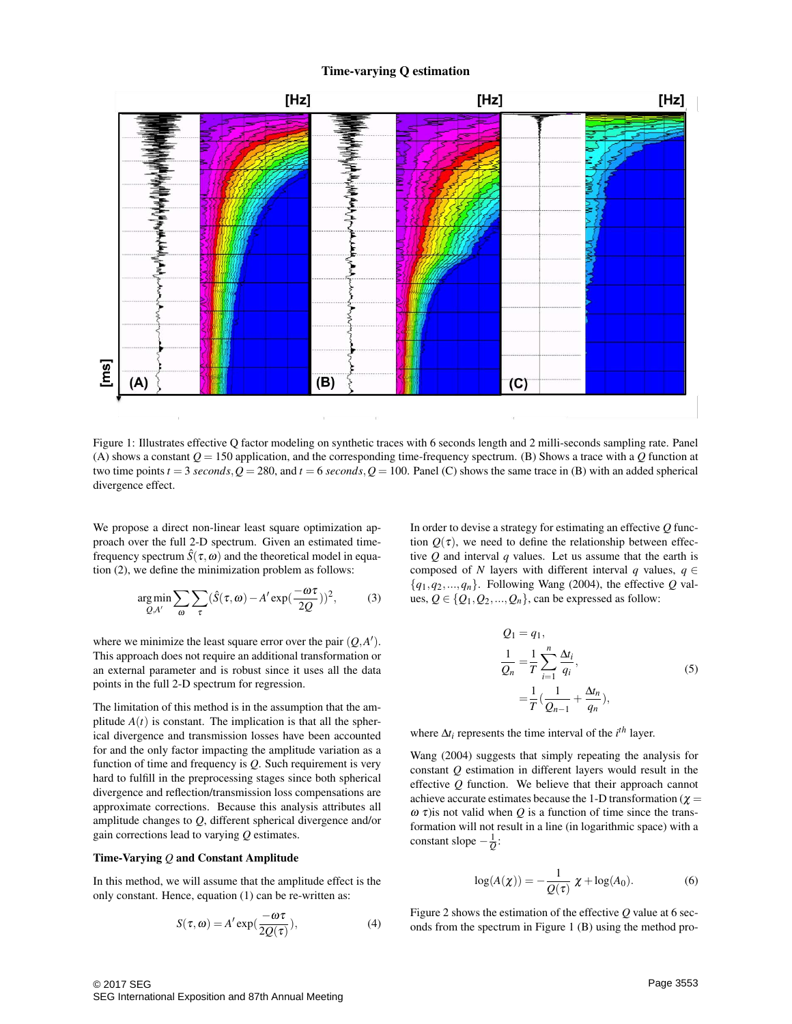## Time-varying Q estimation



Figure 1: Illustrates effective Q factor modeling on synthetic traces with 6 seconds length and 2 milli-seconds sampling rate. Panel (A) shows a constant  $Q = 150$  application, and the corresponding time-frequency spectrum. (B) Shows a trace with a  $Q$  function at two time points  $t = 3$  *seconds*,  $Q = 280$ , and  $t = 6$  *seconds*,  $Q = 100$ . Panel (C) shows the same trace in (B) with an added spherical divergence effect.

We propose a direct non-linear least square optimization approach over the full 2-D spectrum. Given an estimated timefrequency spectrum  $\hat{S}(\tau,\omega)$  and the theoretical model in equation (2), we define the minimization problem as follows:

$$
\underset{Q, A'}{\arg \min} \sum_{\omega} \sum_{\tau} (\hat{S}(\tau, \omega) - A' \exp(\frac{-\omega \tau}{2Q}))^2, \tag{3}
$$

where we minimize the least square error over the pair  $(Q, A')$ . This approach does not require an additional transformation or an external parameter and is robust since it uses all the data points in the full 2-D spectrum for regression.

The limitation of this method is in the assumption that the amplitude  $A(t)$  is constant. The implication is that all the spherical divergence and transmission losses have been accounted for and the only factor impacting the amplitude variation as a function of time and frequency is *Q*. Such requirement is very hard to fulfill in the preprocessing stages since both spherical divergence and reflection/transmission loss compensations are approximate corrections. Because this analysis attributes all amplitude changes to *Q*, different spherical divergence and/or gain corrections lead to varying *Q* estimates.

#### Time-Varying *Q* and Constant Amplitude

In this method, we will assume that the amplitude effect is the only constant. Hence, equation (1) can be re-written as:

$$
S(\tau, \omega) = A' \exp(\frac{-\omega \tau}{2Q(\tau)}), \tag{4}
$$

In order to devise a strategy for estimating an effective *Q* function  $Q(\tau)$ , we need to define the relationship between effective *Q* and interval *q* values. Let us assume that the earth is composed of *N* layers with different interval *q* values,  $q \in$  ${q_1, q_2,..., q_n}$ . Following Wang (2004), the effective *Q* values,  $Q \in \{Q_1, Q_2, ..., Q_n\}$ , can be expressed as follow:

$$
Q_1 = q_1,
$$
  
\n
$$
\frac{1}{Q_n} = \frac{1}{T} \sum_{i=1}^n \frac{\Delta t_i}{q_i},
$$
  
\n
$$
= \frac{1}{T} (\frac{1}{Q_{n-1}} + \frac{\Delta t_n}{q_n}),
$$
\n(5)

where ∆*ti* represents the time interval of the *i th* layer.

Wang (2004) suggests that simply repeating the analysis for constant *Q* estimation in different layers would result in the effective *Q* function. We believe that their approach cannot achieve accurate estimates because the 1-D transformation ( $\chi$  =  $\omega \tau$ ) is not valid when *Q* is a function of time since the transformation will not result in a line (in logarithmic space) with a constant slope − 1 *Q* :

$$
\log(A(\chi)) = -\frac{1}{Q(\tau)} \chi + \log(A_0). \tag{6}
$$

Figure 2 shows the estimation of the effective *Q* value at 6 seconds from the spectrum in Figure 1 (B) using the method pro-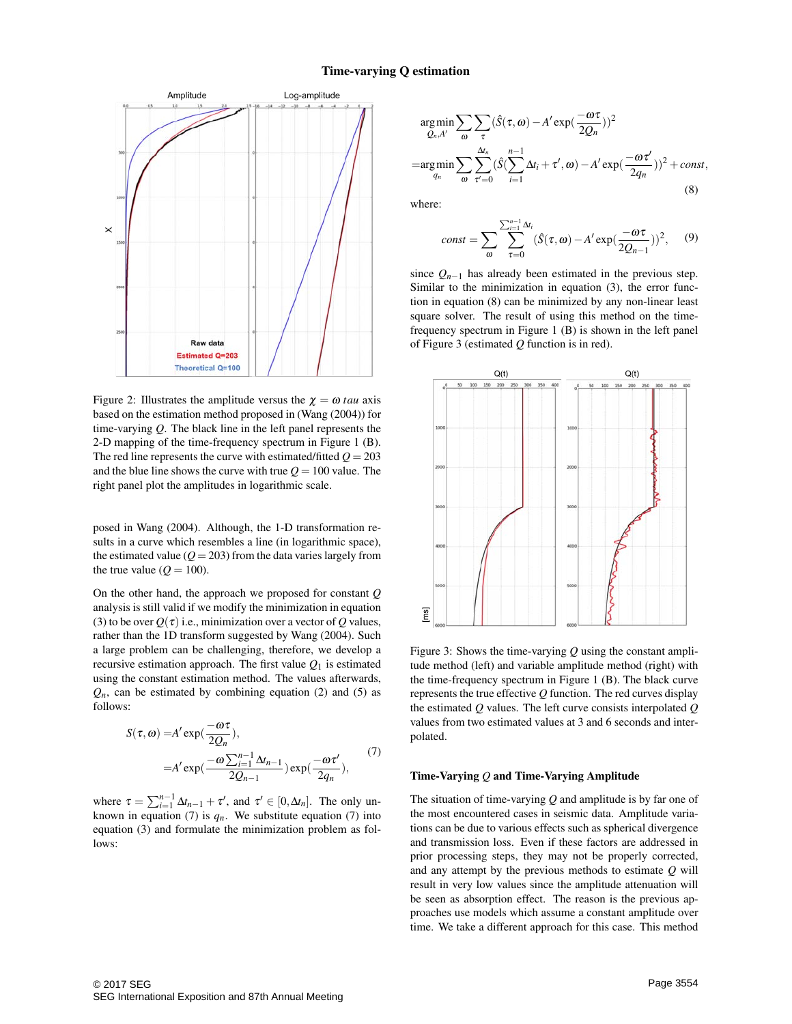

Figure 2: Illustrates the amplitude versus the  $\chi = \omega t \alpha u$  axis based on the estimation method proposed in (Wang (2004)) for time-varying *Q*. The black line in the left panel represents the 2-D mapping of the time-frequency spectrum in Figure 1 (B). The red line represents the curve with estimated/fitted  $Q = 203$ and the blue line shows the curve with true  $Q = 100$  value. The right panel plot the amplitudes in logarithmic scale.

posed in Wang (2004). Although, the 1-D transformation results in a curve which resembles a line (in logarithmic space), the estimated value  $(Q = 203)$  from the data varies largely from the true value ( $Q = 100$ ).

On the other hand, the approach we proposed for constant *Q* analysis is still valid if we modify the minimization in equation (3) to be over  $Q(\tau)$  i.e., minimization over a vector of *Q* values, rather than the 1D transform suggested by Wang (2004). Such a large problem can be challenging, therefore, we develop a recursive estimation approach. The first value  $Q_1$  is estimated using the constant estimation method. The values afterwards,  $Q_n$ , can be estimated by combining equation (2) and (5) as follows:

$$
S(\tau, \omega) = A' \exp(\frac{-\omega \tau}{2Q_n}),
$$
  
=  $A' \exp(\frac{-\omega \sum_{i=1}^{n-1} \Delta t_{n-1}}{2Q_{n-1}}) \exp(\frac{-\omega \tau'}{2q_n}),$  (7)

where  $\tau = \sum_{i=1}^{n-1} \Delta t_{n-1} + \tau'$ , and  $\tau' \in [0, \Delta t_n]$ . The only unknown in equation (7) is  $q_n$ . We substitute equation (7) into equation (3) and formulate the minimization problem as follows:

$$
\underset{Q_n, A'}{\operatorname{arg\,min}} \sum_{\omega} \sum_{\tau} (\hat{S}(\tau, \omega) - A' \exp(\frac{-\omega \tau}{2Q_n}))^2
$$
\n
$$
= \underset{q_n}{\operatorname{arg\,min}} \sum_{\omega} \sum_{\tau'=0}^{\Delta t_n} (\hat{S}(\sum_{i=1}^{n-1} \Delta t_i + \tau', \omega) - A' \exp(\frac{-\omega \tau'}{2q_n}))^2 + const,
$$
\n(8)

where:

$$
const = \sum_{\omega} \sum_{\tau=0}^{\sum_{i=1}^{n-1} \Delta t_i} (\hat{S}(\tau, \omega) - A' \exp(\frac{-\omega \tau}{2Q_{n-1}}))^2, \quad (9)
$$

since  $Q_{n-1}$  has already been estimated in the previous step. Similar to the minimization in equation (3), the error function in equation (8) can be minimized by any non-linear least square solver. The result of using this method on the timefrequency spectrum in Figure 1 (B) is shown in the left panel of Figure 3 (estimated *Q* function is in red).



Figure 3: Shows the time-varying *Q* using the constant amplitude method (left) and variable amplitude method (right) with the time-frequency spectrum in Figure 1 (B). The black curve represents the true effective  $Q$  function. The red curves display the estimated *Q* values. The left curve consists interpolated *Q* values from two estimated values at 3 and 6 seconds and interpolated.

#### Time-Varying *Q* and Time-Varying Amplitude

The situation of time-varying *Q* and amplitude is by far one of the most encountered cases in seismic data. Amplitude variations can be due to various effects such as spherical divergence and transmission loss. Even if these factors are addressed in prior processing steps, they may not be properly corrected, and any attempt by the previous methods to estimate *Q* will result in very low values since the amplitude attenuation will be seen as absorption effect. The reason is the previous approaches use models which assume a constant amplitude over time. We take a different approach for this case. This method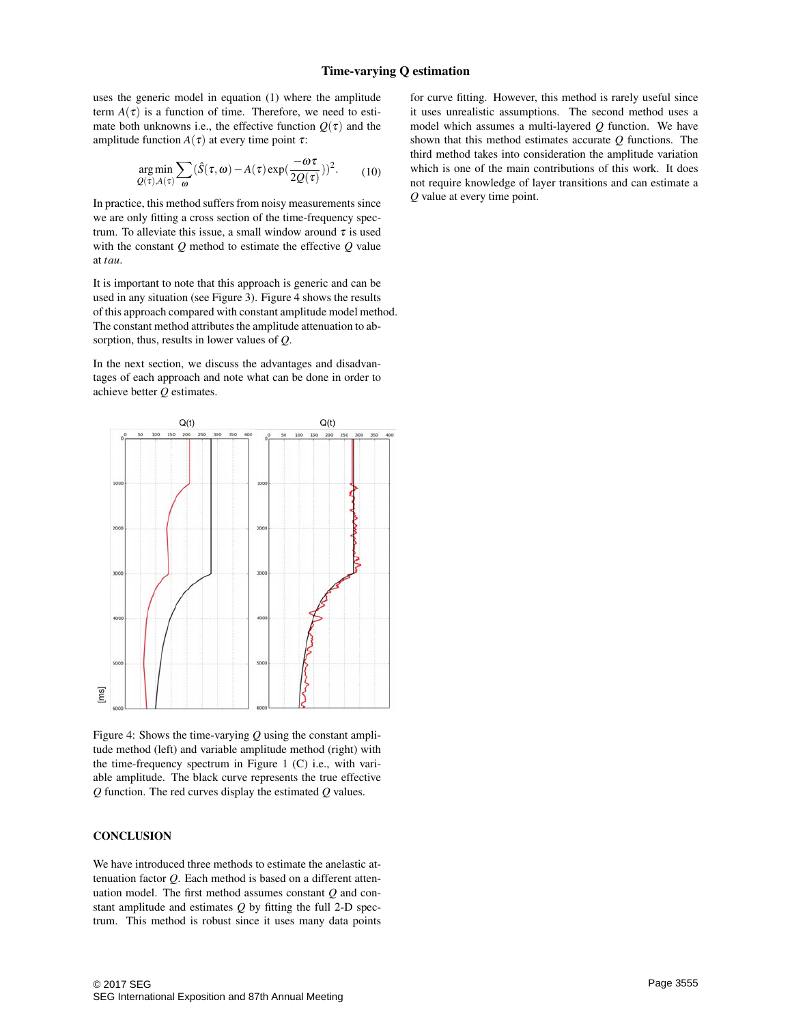uses the generic model in equation (1) where the amplitude term  $A(\tau)$  is a function of time. Therefore, we need to estimate both unknowns i.e., the effective function  $Q(\tau)$  and the amplitude function  $A(\tau)$  at every time point  $\tau$ :

$$
\underset{\mathcal{Q}(\tau), A(\tau)}{\arg \min} \sum_{\omega} (\hat{S}(\tau, \omega) - A(\tau) \exp(\frac{-\omega \tau}{2\mathcal{Q}(\tau)}))^2. \tag{10}
$$

In practice, this method suffers from noisy measurements since we are only fitting a cross section of the time-frequency spectrum. To alleviate this issue, a small window around  $\tau$  is used with the constant *Q* method to estimate the effective *Q* value at *tau*.

It is important to note that this approach is generic and can be used in any situation (see Figure 3). Figure 4 shows the results of this approach compared with constant amplitude model method. The constant method attributes the amplitude attenuation to absorption, thus, results in lower values of *Q*.

In the next section, we discuss the advantages and disadvantages of each approach and note what can be done in order to achieve better *Q* estimates.



Figure 4: Shows the time-varying *Q* using the constant amplitude method (left) and variable amplitude method (right) with the time-frequency spectrum in Figure 1 (C) i.e., with variable amplitude. The black curve represents the true effective *Q* function. The red curves display the estimated *Q* values.

## **CONCLUSION**

We have introduced three methods to estimate the anelastic attenuation factor *Q*. Each method is based on a different attenuation model. The first method assumes constant *Q* and constant amplitude and estimates *Q* by fitting the full 2-D spectrum. This method is robust since it uses many data points

for curve fitting. However, this method is rarely useful since it uses unrealistic assumptions. The second method uses a model which assumes a multi-layered *Q* function. We have shown that this method estimates accurate *Q* functions. The third method takes into consideration the amplitude variation which is one of the main contributions of this work. It does not require knowledge of layer transitions and can estimate a *Q* value at every time point.